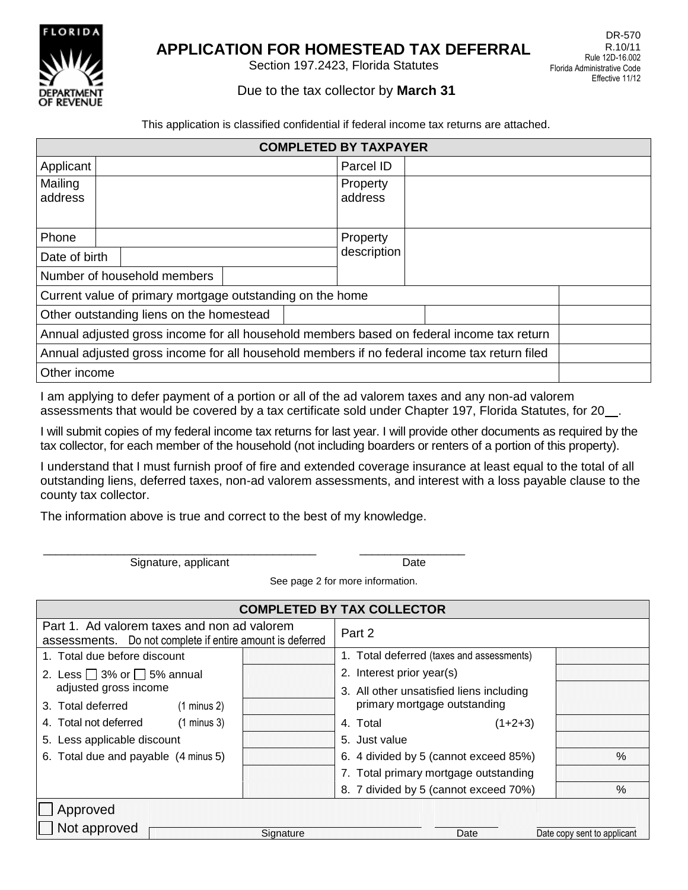

# **APPLICATION FOR HOMESTEAD TAX DEFERRAL**

Section 197.2423, Florida Statutes

## Due to the tax collector by **March 31**

This application is classified confidential if federal income tax returns are attached.

| <b>COMPLETED BY TAXPAYER</b>                                                                 |                                          |  |             |  |                     |  |  |  |  |
|----------------------------------------------------------------------------------------------|------------------------------------------|--|-------------|--|---------------------|--|--|--|--|
| Applicant                                                                                    |                                          |  |             |  | Parcel ID           |  |  |  |  |
| Mailing<br>address                                                                           |                                          |  |             |  | Property<br>address |  |  |  |  |
| Phone                                                                                        |                                          |  |             |  | Property            |  |  |  |  |
| Date of birth                                                                                |                                          |  | description |  |                     |  |  |  |  |
| Number of household members                                                                  |                                          |  |             |  |                     |  |  |  |  |
| Current value of primary mortgage outstanding on the home                                    |                                          |  |             |  |                     |  |  |  |  |
|                                                                                              | Other outstanding liens on the homestead |  |             |  |                     |  |  |  |  |
| Annual adjusted gross income for all household members based on federal income tax return    |                                          |  |             |  |                     |  |  |  |  |
| Annual adjusted gross income for all household members if no federal income tax return filed |                                          |  |             |  |                     |  |  |  |  |
| Other income                                                                                 |                                          |  |             |  |                     |  |  |  |  |

I am applying to defer payment of a portion or all of the ad valorem taxes and any non-ad valorem assessments that would be covered by a tax certificate sold under Chapter 197, Florida Statutes, for 20\_\_.

I will submit copies of my federal income tax returns for last year. I will provide other documents as required by the tax collector, for each member of the household (not including boarders or renters of a portion of this property).

I understand that I must furnish proof of fire and extended coverage insurance at least equal to the total of all outstanding liens, deferred taxes, non-ad valorem assessments, and interest with a loss payable clause to the county tax collector.

The information above is true and correct to the best of my knowledge.

\_\_\_\_\_\_\_\_\_\_\_\_\_\_\_\_\_\_\_\_\_\_\_\_\_\_\_\_\_\_\_\_\_\_\_\_\_\_\_\_\_\_\_\_ \_\_\_\_\_\_\_\_\_\_\_\_\_\_\_\_\_ Signature, applicant Date Date

| See page 2 for more information. |
|----------------------------------|
|                                  |

| <b>COMPLETED BY TAX COLLECTOR</b>                                                                        |           |                                           |      |  |  |  |  |  |
|----------------------------------------------------------------------------------------------------------|-----------|-------------------------------------------|------|--|--|--|--|--|
| Part 1. Ad valorem taxes and non ad valorem<br>assessments. Do not complete if entire amount is deferred |           | Part 2                                    |      |  |  |  |  |  |
| 1. Total due before discount                                                                             |           | 1. Total deferred (taxes and assessments) |      |  |  |  |  |  |
| 2. Less $\Box$ 3% or $\Box$ 5% annual                                                                    |           | 2. Interest prior year(s)                 |      |  |  |  |  |  |
| adjusted gross income                                                                                    |           | 3. All other unsatisfied liens including  |      |  |  |  |  |  |
| 3. Total deferred<br>$(1 \text{ minus } 2)$                                                              |           | primary mortgage outstanding              |      |  |  |  |  |  |
| 4. Total not deferred<br>$(1 \text{ minus } 3)$                                                          |           | $(1+2+3)$<br>4. Total                     |      |  |  |  |  |  |
| 5. Less applicable discount                                                                              |           | 5. Just value                             |      |  |  |  |  |  |
| 6. Total due and payable (4 minus 5)                                                                     |           | 6. 4 divided by 5 (cannot exceed 85%)     | $\%$ |  |  |  |  |  |
|                                                                                                          |           | 7. Total primary mortgage outstanding     |      |  |  |  |  |  |
|                                                                                                          |           | 8. 7 divided by 5 (cannot exceed 70%)     | $\%$ |  |  |  |  |  |
| Approved                                                                                                 |           |                                           |      |  |  |  |  |  |
| Not approved                                                                                             |           |                                           |      |  |  |  |  |  |
|                                                                                                          | Signature | Date<br>Date copy sent to applicant       |      |  |  |  |  |  |